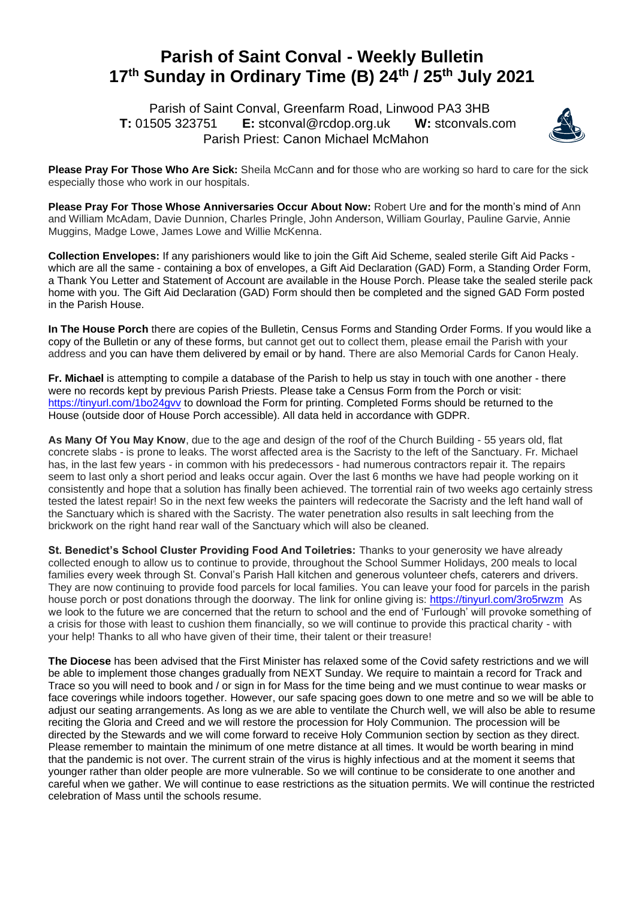## **Parish of Saint Conval - Weekly Bulletin 17 th Sunday in Ordinary Time (B) 24th / 25th July 2021**

 Parish of Saint Conval, Greenfarm Road, Linwood PA3 3HB **T:** 01505 323751 **E:** [stconval@rcdop.org.uk](mailto:stconval@rcdop.org.uk) **W:** stconvals.com Parish Priest: Canon Michael McMahon



**Please Pray For Those Who Are Sick:** Sheila McCann and for those who are working so hard to care for the sick especially those who work in our hospitals.

**Please Pray For Those Whose Anniversaries Occur About Now:** Robert Ure and for the month's mind of Ann and William McAdam, Davie Dunnion, Charles Pringle, John Anderson, William Gourlay, Pauline Garvie, Annie Muggins, Madge Lowe, James Lowe and Willie McKenna.

**Collection Envelopes:** If any parishioners would like to join the Gift Aid Scheme, sealed sterile Gift Aid Packs which are all the same - containing a box of envelopes, a Gift Aid Declaration (GAD) Form, a Standing Order Form, a Thank You Letter and Statement of Account are available in the House Porch. Please take the sealed sterile pack home with you. The Gift Aid Declaration (GAD) Form should then be completed and the signed GAD Form posted in the Parish House.

**In The House Porch** there are copies of the Bulletin, Census Forms and Standing Order Forms. If you would like a copy of the Bulletin or any of these forms, but cannot get out to collect them, please email the Parish with your address and you can have them delivered by email or by hand. There are also Memorial Cards for Canon Healy.

**Fr. Michael** is attempting to compile a database of the Parish to help us stay in touch with one another - there were no records kept by previous Parish Priests. Please take a Census Form from the Porch or visit: <https://tinyurl.com/1bo24gvv> to download the Form for printing. Completed Forms should be returned to the House (outside door of House Porch accessible). All data held in accordance with GDPR.

**As Many Of You May Know**, due to the age and design of the roof of the Church Building - 55 years old, flat concrete slabs - is prone to leaks. The worst affected area is the Sacristy to the left of the Sanctuary. Fr. Michael has, in the last few years - in common with his predecessors - had numerous contractors repair it. The repairs seem to last only a short period and leaks occur again. Over the last 6 months we have had people working on it consistently and hope that a solution has finally been achieved. The torrential rain of two weeks ago certainly stress tested the latest repair! So in the next few weeks the painters will redecorate the Sacristy and the left hand wall of the Sanctuary which is shared with the Sacristy. The water penetration also results in salt leeching from the brickwork on the right hand rear wall of the Sanctuary which will also be cleaned.

**St. Benedict's School Cluster Providing Food And Toiletries:** Thanks to your generosity we have already collected enough to allow us to continue to provide, throughout the School Summer Holidays, 200 meals to local families every week through St. Conval's Parish Hall kitchen and generous volunteer chefs, caterers and drivers. They are now continuing to provide food parcels for local families. You can leave your food for parcels in the parish house porch or post donations through the doorway. The link for online giving is:<https://tinyurl.com/3ro5rwzm>As we look to the future we are concerned that the return to school and the end of 'Furlough' will provoke something of a crisis for those with least to cushion them financially, so we will continue to provide this practical charity - with your help! Thanks to all who have given of their time, their talent or their treasure!

**The Diocese** has been advised that the First Minister has relaxed some of the Covid safety restrictions and we will be able to implement those changes gradually from NEXT Sunday. We require to maintain a record for Track and Trace so you will need to book and / or sign in for Mass for the time being and we must continue to wear masks or face coverings while indoors together. However, our safe spacing goes down to one metre and so we will be able to adjust our seating arrangements. As long as we are able to ventilate the Church well, we will also be able to resume reciting the Gloria and Creed and we will restore the procession for Holy Communion. The procession will be directed by the Stewards and we will come forward to receive Holy Communion section by section as they direct. Please remember to maintain the minimum of one metre distance at all times. It would be worth bearing in mind that the pandemic is not over. The current strain of the virus is highly infectious and at the moment it seems that younger rather than older people are more vulnerable. So we will continue to be considerate to one another and careful when we gather. We will continue to ease restrictions as the situation permits. We will continue the restricted celebration of Mass until the schools resume.